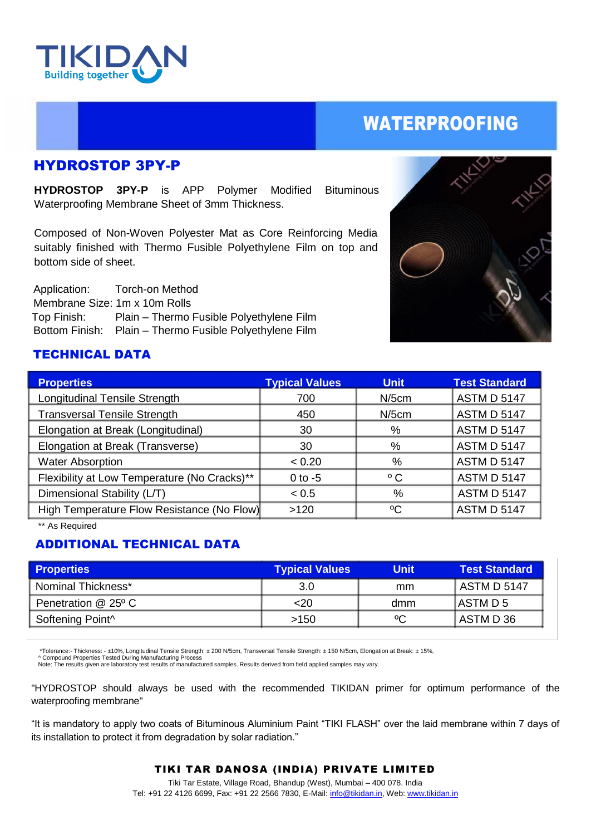

# WATERPROOFING

## HYDROSTOP 3PY-P

**HYDROSTOP 3PY-P** is APP Polymer Modified Bituminous Waterproofing Membrane Sheet of 3mm Thickness.

Composed of Non-Woven Polyester Mat as Core Reinforcing Media suitably finished with Thermo Fusible Polyethylene Film on top and bottom side of sheet.

 Application: Torch-on Method Membrane Size: 1m x 10m Rolls Top Finish: Plain – Thermo Fusible Polyethylene Film Bottom Finish: Plain – Thermo Fusible Polyethylene Film



### TECHNICAL DATA

| <b>Typical Values</b>                              | <b>Unit</b>  | <b>Test Standard</b> |
|----------------------------------------------------|--------------|----------------------|
| 700                                                | $N/5$ cm     | <b>ASTM D 5147</b>   |
| 450                                                | $N/5$ cm     | <b>ASTM D 5147</b>   |
| 30                                                 | %            | <b>ASTM D 5147</b>   |
| 30                                                 | %            | <b>ASTM D 5147</b>   |
| < 0.20                                             | $\%$         | <b>ASTM D 5147</b>   |
| $0$ to $-5$                                        | $^{\circ}$ C | <b>ASTM D 5147</b>   |
| < 0.5                                              | %            | <b>ASTM D 5147</b>   |
| High Temperature Flow Resistance (No Flow)<br>>120 | °C           | <b>ASTM D 5147</b>   |
|                                                    |              |                      |

\*\* As Required

### ADDITIONAL TECHNICAL DATA

| <b>Properties</b>   | <b>Typical Values</b> | Unit        | <b>Test Standard</b> |
|---------------------|-----------------------|-------------|----------------------|
| Nominal Thickness*  | 3.0                   | mm          | <b>ASTM D 5147</b>   |
| Penetration @ 25° C | $<$ 20                | dmm         | IASTM D 5            |
| Softening Point^    | >150                  | $\rm ^{o}C$ | I ASTM D 36          |

\*Tolerance:- Thickness: - ±10%, Longitudinal Tensile Strength: ± 200 N/5cm, Transversal Tensile Strength: ± 150 N/5cm, Elongation at Break: ± 15%,

^ Compound Properties Tested During Manufacturing Process<br>Note: The results given are laboratory test results of manufactured samples. Results derived from field applied samples may vary.

"HYDROSTOP should always be used with the recommended TIKIDAN primer for optimum performance of the waterproofing membrane"

"It is mandatory to apply two coats of Bituminous Aluminium Paint "TIKI FLASH" over the laid membrane within 7 days of its installation to protect it from degradation by solar radiation."

#### TIKI TAR DANOSA (INDIA) PRIVATE LIMITED